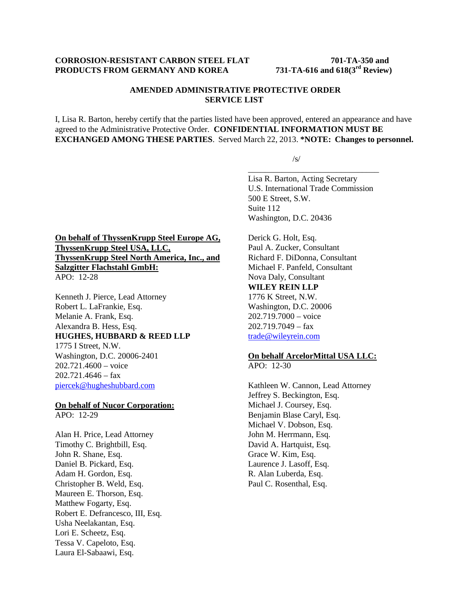# **CORROSION-RESISTANT CARBON STEEL FLAT** 701-TA-350 and<br>**PRODUCTS FROM GERMANY AND KOREA** 731-TA-616 and 618(3<sup>rd</sup> Review) **PRODUCTS FROM GERMANY AND KOREA**

# **AMENDED ADMINISTRATIVE PROTECTIVE ORDER SERVICE LIST**

I, Lisa R. Barton, hereby certify that the parties listed have been approved, entered an appearance and have agreed to the Administrative Protective Order. **CONFIDENTIAL INFORMATION MUST BE EXCHANGED AMONG THESE PARTIES**. Served March 22, 2013. **\*NOTE: Changes to personnel.**

/s/

Lisa R. Barton, Acting Secretary U.S. International Trade Commission 500 E Street, S.W. Suite 112 Washington, D.C. 20436

\_\_\_\_\_\_\_\_\_\_\_\_\_\_\_\_\_\_\_\_\_\_\_\_\_\_\_\_\_\_\_

# **On behalf of ThyssenKrupp Steel Europe AG, ThyssenKrupp Steel USA, LLC, ThyssenKrupp Steel North America, Inc., and Salzgitter Flachstahl GmbH:** APO: 12-28

Kenneth J. Pierce, Lead Attorney Robert L. LaFrankie, Esq. Melanie A. Frank, Esq. Alexandra B. Hess, Esq. **HUGHES, HUBBARD & REED LLP** 1775 I Street, N.W. Washington, D.C. 20006-2401 202.721.4600 – voice 202.721.4646 – fax piercek@hugheshubbard.com

#### **On behalf of Nucor Corporation:** APO: 12-29

Alan H. Price, Lead Attorney Timothy C. Brightbill, Esq. John R. Shane, Esq. Daniel B. Pickard, Esq. Adam H. Gordon, Esq. Christopher B. Weld, Esq. Maureen E. Thorson, Esq. Matthew Fogarty, Esq. Robert E. Defrancesco, III, Esq. Usha Neelakantan, Esq. Lori E. Scheetz, Esq. Tessa V. Capeloto, Esq. Laura El-Sabaawi, Esq.

Derick G. Holt, Esq. Paul A. Zucker, Consultant Richard F. DiDonna, Consultant Michael F. Panfeld, Consultant Nova Daly, Consultant **WILEY REIN LLP** 1776 K Street, N.W. Washington, D.C. 20006 202.719.7000 – voice 202.719.7049 – fax trade@wileyrein.com

# **On behalf ArcelorMittal USA LLC:**

APO: 12-30

Kathleen W. Cannon, Lead Attorney Jeffrey S. Beckington, Esq. Michael J. Coursey, Esq. Benjamin Blase Caryl, Esq. Michael V. Dobson, Esq. John M. Herrmann, Esq. David A. Hartquist, Esq. Grace W. Kim, Esq. Laurence J. Lasoff, Esq. R. Alan Luberda, Esq. Paul C. Rosenthal, Esq.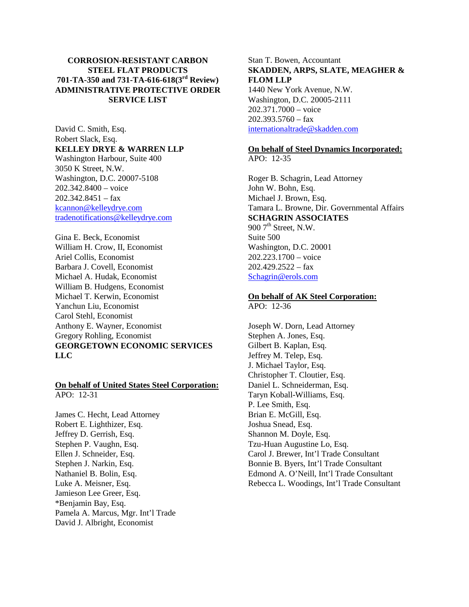# **CORROSION-RESISTANT CARBON STEEL FLAT PRODUCTS 701-TA-350 and 731-TA-616-618(3rd Review) ADMINISTRATIVE PROTECTIVE ORDER SERVICE LIST**

David C. Smith, Esq. Robert Slack, Esq. **KELLEY DRYE & WARREN LLP** Washington Harbour, Suite 400 3050 K Street, N.W. Washington, D.C. 20007-5108 202.342.8400 – voice  $202.342.8451 - fax$ kcannon@kelleydrye.com tradenotifications@kelleydrye.com

Gina E. Beck, Economist William H. Crow, II, Economist Ariel Collis, Economist Barbara J. Covell, Economist Michael A. Hudak, Economist William B. Hudgens, Economist Michael T. Kerwin, Economist Yanchun Liu, Economist Carol Stehl, Economist Anthony E. Wayner, Economist Gregory Rohling, Economist **GEORGETOWN ECONOMIC SERVICES LLC**

#### **On behalf of United States Steel Corporation:** APO: 12-31

James C. Hecht, Lead Attorney Robert E. Lighthizer, Esq. Jeffrey D. Gerrish, Esq. Stephen P. Vaughn, Esq. Ellen J. Schneider, Esq. Stephen J. Narkin, Esq. Nathaniel B. Bolin, Esq. Luke A. Meisner, Esq. Jamieson Lee Greer, Esq. \*Benjamin Bay, Esq. Pamela A. Marcus, Mgr. Int'l Trade David J. Albright, Economist

Stan T. Bowen, Accountant **SKADDEN, ARPS, SLATE, MEAGHER & FLOM LLP**

1440 New York Avenue, N.W. Washington, D.C. 20005-2111 202.371.7000 – voice  $202.393.5760 - fax$ internationaltrade@skadden.com

# **On behalf of Steel Dynamics Incorporated:**

APO: 12-35

Roger B. Schagrin, Lead Attorney John W. Bohn, Esq. Michael J. Brown, Esq. Tamara L. Browne, Dir. Governmental Affairs **SCHAGRIN ASSOCIATES** 900  $7<sup>th</sup>$  Street, N.W. Suite 500 Washington, D.C. 20001 202.223.1700 – voice  $202.429.2522 - fax$ Schagrin@erols.com

#### **On behalf of AK Steel Corporation:** APO: 12-36

Joseph W. Dorn, Lead Attorney Stephen A. Jones, Esq. Gilbert B. Kaplan, Esq. Jeffrey M. Telep, Esq. J. Michael Taylor, Esq. Christopher T. Cloutier, Esq. Daniel L. Schneiderman, Esq. Taryn Koball-Williams, Esq. P. Lee Smith, Esq. Brian E. McGill, Esq. Joshua Snead, Esq. Shannon M. Doyle, Esq. Tzu-Huan Augustine Lo, Esq. Carol J. Brewer, Int'l Trade Consultant Bonnie B. Byers, Int'l Trade Consultant Edmond A. O'Neill, Int'l Trade Consultant Rebecca L. Woodings, Int'l Trade Consultant